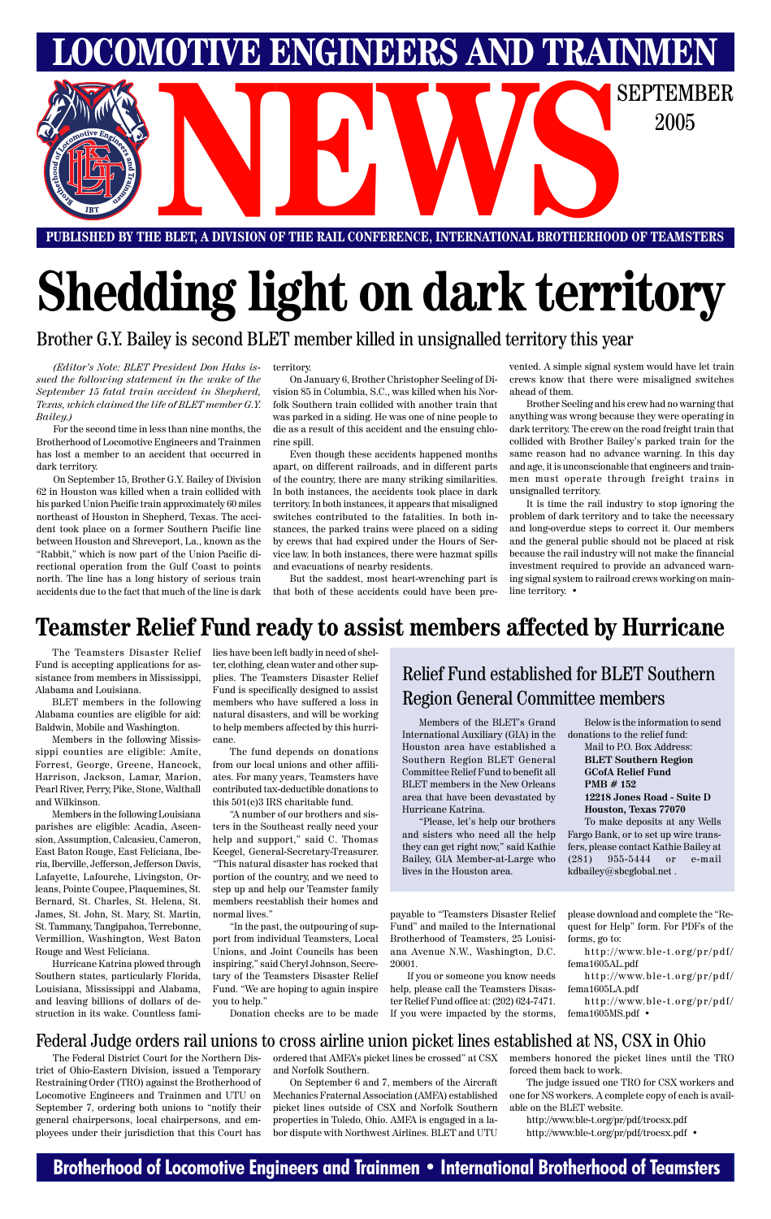### **Brotherhood of Locomotive Engineers and Trainmen • International Brotherhood of Teamsters**

# **Shedding light on dark territory**

Brother G.Y. Bailey is second BLET member killed in unsignalled territory this year

**PUBLISHED BY THE BLET, A DIVISION OF THE RAIL CONFERENCE, INTERNATIONAL BROTHERHOOD OF TEAMSTERS**

**LOMOTIVE ENGINEERS AND TRAINMEN** 



The Teamsters Disaster Relief Fund is accepting applications for assistance from members in Mississippi, Alabama and Louisiana.

BLET members in the following Alabama counties are eligible for aid: Baldwin, Mobile and Washington.

Members in the following Mississippi counties are eligible: Amite, Forrest, George, Greene, Hancock, Harrison, Jackson, Lamar, Marion, Pearl River, Perry, Pike, Stone, Walthall and Wilkinson.

Members in the following Louisiana parishes are eligible: Acadia, Ascension, Assumption, Calcasieu, Cameron, East Baton Rouge, East Feliciana, Iberia, Iberville, Jefferson, Jefferson Davis, Lafayette, Lafourche, Livingston, Orleans, Pointe Coupee, Plaquemines, St. Bernard, St. Charles, St. Helena, St. James, St. John, St. Mary, St. Martin, St. Tammany, Tangipahoa, Terrebonne, Vermillion, Washington, West Baton Rouge and West Feliciana. Hurricane Katrina plowed through Southern states, particularly Florida, Louisiana, Mississippi and Alabama, and leaving billions of dollars of destruction in its wake. Countless families have been left badly in need of shelter, clothing, clean water and other supplies. The Teamsters Disaster Relief Fund is specifically designed to assist members who have suffered a loss in natural disasters, and will be working to help members affected by this hurricane.

The fund depends on donations from our local unions and other affiliates. For many years, Teamsters have contributed tax-deductible donations to this 501(c)3 IRS charitable fund.

"A number of our brothers and sisters in the Southeast really need your help and support," said C. Thomas Keegel, General-Secretary-Treasurer. "This natural disaster has rocked that portion of the country, and we need to step up and help our Teamster family members reestablish their homes and normal lives."

"In the past, the outpouring of support from individual Teamsters, Local Unions, and Joint Councils has been inspiring," said Cheryl Johnson, Secretary of the Teamsters Disaster Relief Fund. "We are hoping to again inspire you to help."

Donation checks are to be made

payable to "Teamsters Disaster Relief Fund" and mailed to the International Brotherhood of Teamsters, 25 Louisiana Avenue N.W., Washington, D.C. 20001.

If you or someone you know needs help, please call the Teamsters Disaster Relief Fund office at: (202) 624-7471. If you were impacted by the storms,

please download and complete the "Request for Help" form. For PDFs of the forms, go to:

http://www.ble-t.org/pr/pdf/ fema1605AL.pdf

http://www.ble-t.org/pr/pdf/ fema1605LA.pdf

http://www.ble-t.org/pr/pdf/ fema1605MS.pdf •

### **Teamster Relief Fund ready to assist members affected by Hurricane**

It is time the rail industry to stop ignoring the problem of dark territory and to take the necessary and long-overdue steps to correct it. Our members and the general public should not be placed at risk because the rail industry will not make the financial investment required to provide an advanced warning signal system to railroad crews working on mainline territory.  $\bullet$ 

Members of the BLET's Grand International Auxiliary (GIA) in the Houston area have established a Southern Region BLET General Committee Relief Fund to benefit all BLET members in the New Orleans area that have been devastated by Hurricane Katrina.

"Please, let's help our brothers and sisters who need all the help they can get right now," said Kathie Bailey, GIA Member-at-Large who lives in the Houston area.

Below is the information to send donations to the relief fund:

Mail to P.O. Box Address: **BLET Southern Region GCofA Relief Fund PMB # 152 12218 Jones Road - Suite D Houston, Texas 77070** To make deposits at any Wells

Fargo Bank, or to set up wire transfers, please contact Kathie Bailey at (281) 955-5444 or e-mail kdbailey@sbcglobal.net .

### Relief Fund established for BLET Southern Region General Committee members

*(Editor's Note: BLET President Don Hahs issued the following statement in the wake of the September 15 fatal train accident in Shepherd, Texas, which claimed the life of BLET member G.Y. Bailey.)*

For the second time in less than nine months, the Brotherhood of Locomotive Engineers and Trainmen has lost a member to an accident that occurred in dark territory.

On September 15, Brother G.Y. Bailey of Division 62 in Houston was killed when a train collided with his parked Union Pacific train approximately 60 miles northeast of Houston in Shepherd, Texas. The accident took place on a former Southern Pacific line between Houston and Shreveport, La., known as the "Rabbit," which is now part of the Union Pacific directional operation from the Gulf Coast to points north. The line has a long history of serious train accidents due to the fact that much of the line is dark

#### territory.

On January 6, Brother Christopher Seeling of Division 85 in Columbia, S.C., was killed when his Norfolk Southern train collided with another train that was parked in a siding. He was one of nine people to die as a result of this accident and the ensuing chlorine spill.

Even though these accidents happened months apart, on different railroads, and in different parts of the country, there are many striking similarities. In both instances, the accidents took place in dark territory. In both instances, it appears that misaligned switches contributed to the fatalities. In both instances, the parked trains were placed on a siding by crews that had expired under the Hours of Service law. In both instances, there were hazmat spills and evacuations of nearby residents.

But the saddest, most heart-wrenching part is that both of these accidents could have been prevented. A simple signal system would have let train crews know that there were misaligned switches ahead of them.

Brother Seeling and his crew had no warning that anything was wrong because they were operating in dark territory. The crew on the road freight train that collided with Brother Bailey's parked train for the same reason had no advance warning. In this day and age, it is unconscionable that engineers and trainmen must operate through freight trains in unsignalled territory.

The Federal District Court for the Northern District of Ohio-Eastern Division, issued a Temporary Restraining Order (TRO) against the Brotherhood of Locomotive Engineers and Trainmen and UTU on September 7, ordering both unions to "notify their general chairpersons, local chairpersons, and employees under their jurisdiction that this Court has

#### Federal Judge orders rail unions to cross airline union picket lines established at NS, CSX in Ohio

and Norfolk Southern.

ordered that AMFA's picket lines be crossed" at CSX members honored the picket lines until the TRO forced them back to work.

On September 6 and 7, members of the Aircraft Mechanics Fraternal Association (AMFA) established picket lines outside of CSX and Norfolk Southern properties in Toledo, Ohio. AMFA is engaged in a labor dispute with Northwest Airlines. BLET and UTU

The judge issued one TRO for CSX workers and one for NS workers. A complete copy of each is available on the BLET website.

http://www.ble-t.org/pr/pdf/trocsx.pdf http://www.ble-t.org/pr/pdf/trocsx.pdf •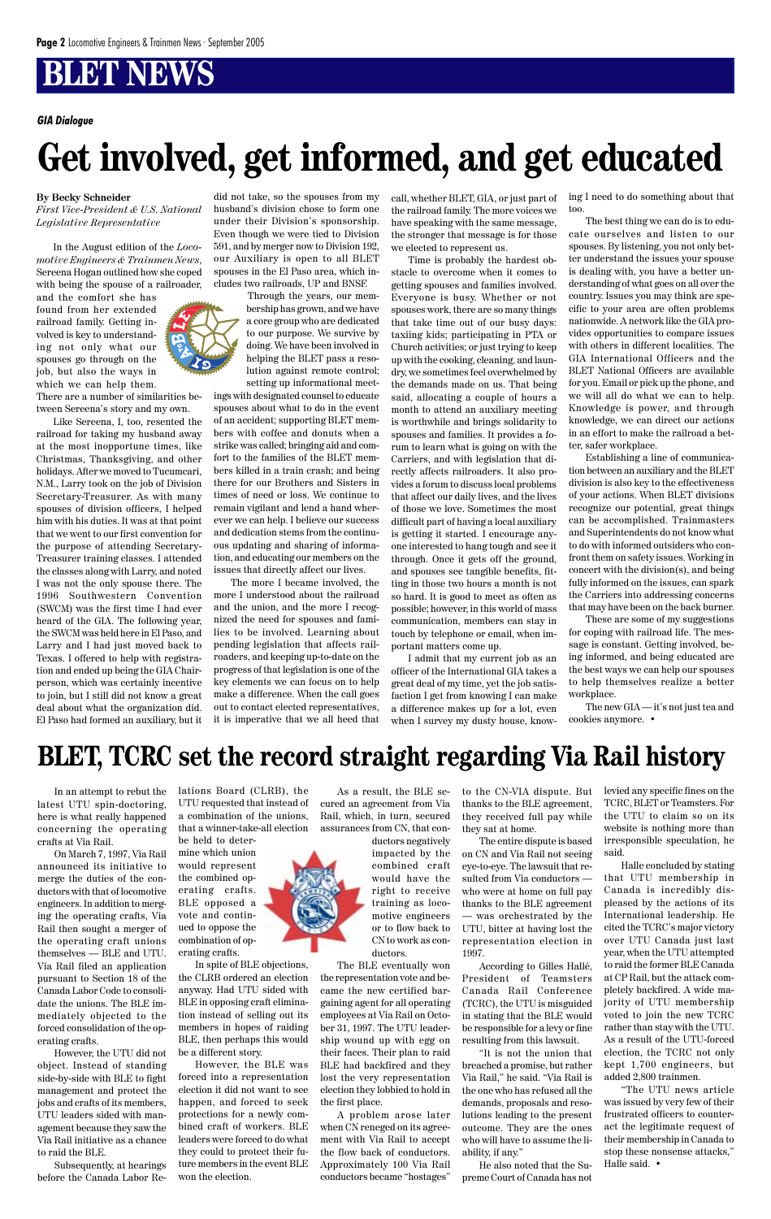In an attempt to rebut the latest UTU spin-doctoring, here is what really happened concerning the operating crafts at Via Rail.

On March 7, 1997, Via Rail announced its initiative to merge the duties of the conductors with that of locomotive

engineers. In addition to merging the operating crafts, Via Rail then sought a merger of the operating craft unions themselves — BLE and UTU. Via Rail filed an application pursuant to Section 18 of the Canada Labor Code to consolidate the unions. The BLE immediately objected to the forced consolidation of the operating crafts.

However, the UTU did not object. Instead of standing side-by-side with BLE to fight management and protect the jobs and crafts of its members, UTU leaders sided with management because they saw the Via Rail initiative as a chance to raid the BLE.

Subsequently, at hearings before the Canada Labor Relations Board (CLRB), the UTU requested that instead of a combination of the unions, that a winner-take-all election be held to deter-

mine which union would represent the combined operating crafts. BLE opposed a vote and continued to oppose the combination of operating crafts.

In spite of BLE objections, the CLRB ordered an election anyway. Had UTU sided with BLE in opposing craft elimination instead of selling out its members in hopes of raiding BLE, then perhaps this would be a different story.

However, the BLE was forced into a representation election it did not want to see happen, and forced to seek protections for a newly combined craft of workers. BLE leaders were forced to do what they could to protect their future members in the event BLE won the election.



As a result, the BLE secured an agreement from Via Rail, which, in turn, secured assurances from CN, that con-

ductors negatively impacted by the combined craft would have the right to receive

training as locomotive engineers or to flow back to CN to work as conductors.

The BLE eventually won the representation vote and became the new certified bargaining agent for all operating employees at Via Rail on October 31, 1997. The UTU leadership wound up with egg on their faces. Their plan to raid BLE had backfired and they lost the very representation election they lobbied to hold in the first place.

A problem arose later when CN reneged on its agreement with Via Rail to accept the flow back of conductors. Approximately 100 Via Rail conductors became "hostages"

to the CN-VIA dispute. But thanks to the BLE agreement, they received full pay while they sat at home.

The entire dispute is based on CN and Via Rail not seeing eye-to-eye. The lawsuit that resulted from Via conductors who were at home on full pay thanks to the BLE agreement — was orchestrated by the UTU, bitter at having lost the representation election in 1997.

According to Gilles Hallé, President of Teamsters Canada Rail Conference (TCRC), the UTU is misguided in stating that the BLE would be responsible for a levy or fine resulting from this lawsuit.

"It is not the union that breached a promise, but rather Via Rail," he said. "Via Rail is the one who has refused all the demands, proposals and resolutions leading to the present outcome. They are the ones who will have to assume the liability, if any."

He also noted that the Supreme Court of Canada has not

levied any specific fines on the TCRC, BLET or Teamsters. For the UTU to claim so on its website is nothing more than irresponsible speculation, he said.

Halle concluded by stating that UTU membership in Canada is incredibly displeased by the actions of its International leadership. He cited the TCRC's major victory over UTU Canada just last year, when the UTU attempted to raid the former BLE Canada at CP Rail, but the attack completely backfired. A wide majority of UTU membership voted to join the new TCRC rather than stay with the UTU. As a result of the UTU-forced election, the TCRC not only kept 1,700 engineers, but added 2,800 trainmen.



"The UTU news article was issued by very few of their frustrated officers to counteract the legitimate request of their membership in Canada to stop these nonsense attacks," Halle said. •

#### **By Becky Schneider**

*First Vice-President & U.S. National Legislative Representative*

In the August edition of the *Locomotive Engineers & Trainmen News*, Sereena Hogan outlined how she coped with being the spouse of a railroader,

and the comfort she has found from her extended railroad family. Getting involved is key to understanding not only what our spouses go through on the job, but also the ways in which we can help them.

There are a number of similarities between Sereena's story and my own.

Like Sereena, I, too, resented the railroad for taking my husband away at the most inopportune times, like Christmas, Thanksgiving, and other holidays. After we moved to Tucumcari, N.M., Larry took on the job of Division Secretary-Treasurer. As with many spouses of division officers, I helped him with his duties. It was at that point that we went to our first convention for the purpose of attending Secretary-Treasurer training classes. I attended the classes along with Larry, and noted I was not the only spouse there. The 1996 Southwestern Convention (SWCM) was the first time I had ever heard of the GIA. The following year, the SWCM was held here in El Paso, and Larry and I had just moved back to Texas. I offered to help with registration and ended up being the GIA Chairperson, which was certainly incentive to join, but I still did not know a great deal about what the organization did. El Paso had formed an auxiliary, but it did not take, so the spouses from my husband's division chose to form one under their Division's sponsorship. Even though we were tied to Division 591, and by merger now to Division 192, our Auxiliary is open to all BLET spouses in the El Paso area, which includes two railroads, UP and BNSF.

> Through the years, our membership has grown, and we have a core group who are dedicated to our purpose. We survive by doing. We have been involved in helping the BLET pass a resolution against remote control; setting up informational meet-

ings with designated counsel to educate spouses about what to do in the event of an accident; supporting BLET members with coffee and donuts when a strike was called; bringing aid and comfort to the families of the BLET members killed in a train crash; and being there for our Brothers and Sisters in times of need or loss. We continue to remain vigilant and lend a hand wherever we can help. I believe our success and dedication stems from the continuous updating and sharing of information, and educating our members on the issues that directly affect our lives.

The more I became involved, the more I understood about the railroad and the union, and the more I recognized the need for spouses and families to be involved. Learning about pending legislation that affects railroaders, and keeping up-to-date on the progress of that legislation is one of the key elements we can focus on to help make a difference. When the call goes out to contact elected representatives, it is imperative that we all heed that

call, whether BLET, GIA, or just part of the railroad family. The more voices we have speaking with the same message, the stronger that message is for those we elected to represent us.

Time is probably the hardest obstacle to overcome when it comes to getting spouses and families involved. Everyone is busy. Whether or not spouses work, there are so many things that take time out of our busy days: taxiing kids; participating in PTA or Church activities; or just trying to keep up with the cooking, cleaning, and laundry, we sometimes feel overwhelmed by the demands made on us. That being said, allocating a couple of hours a month to attend an auxiliary meeting is worthwhile and brings solidarity to spouses and families. It provides a forum to learn what is going on with the Carriers, and with legislation that directly affects railroaders. It also provides a forum to discuss local problems that affect our daily lives, and the lives of those we love. Sometimes the most difficult part of having a local auxiliary is getting it started. I encourage anyone interested to hang tough and see it through. Once it gets off the ground, and spouses see tangible benefits, fitting in those two hours a month is not so hard. It is good to meet as often as possible; however, in this world of mass communication, members can stay in touch by telephone or email, when important matters come up.

I admit that my current job as an officer of the International GIA takes a great deal of my time, yet the job satisfaction I get from knowing I can make a difference makes up for a lot, even when I survey my dusty house, knowing I need to do something about that too.

The best thing we can do is to educate ourselves and listen to our spouses. By listening, you not only better understand the issues your spouse is dealing with, you have a better understanding of what goes on all over the country. Issues you may think are specific to your area are often problems nationwide. A network like the GIA provides opportunities to compare issues with others in different localities. The GIA International Officers and the BLET National Officers are available for you. Email or pick up the phone, and we will all do what we can to help. Knowledge is power, and through knowledge, we can direct our actions in an effort to make the railroad a better, safer workplace.

Establishing a line of communication between an auxiliary and the BLET division is also key to the effectiveness of your actions. When BLET divisions recognize our potential, great things can be accomplished. Trainmasters and Superintendents do not know what to do with informed outsiders who confront them on safety issues. Working in concert with the division(s), and being fully informed on the issues, can spark the Carriers into addressing concerns that may have been on the back burner.

These are some of my suggestions for coping with railroad life. The message is constant. Getting involved, being informed, and being educated are the best ways we can help our spouses to help themselves realize a better workplace.

The new GIA — it's not just tea and cookies anymore. •

*GIA Dialogue*

## **Get involved, get informed, and get educated**

## **BLET, TCRC set the record straight regarding Via Rail history**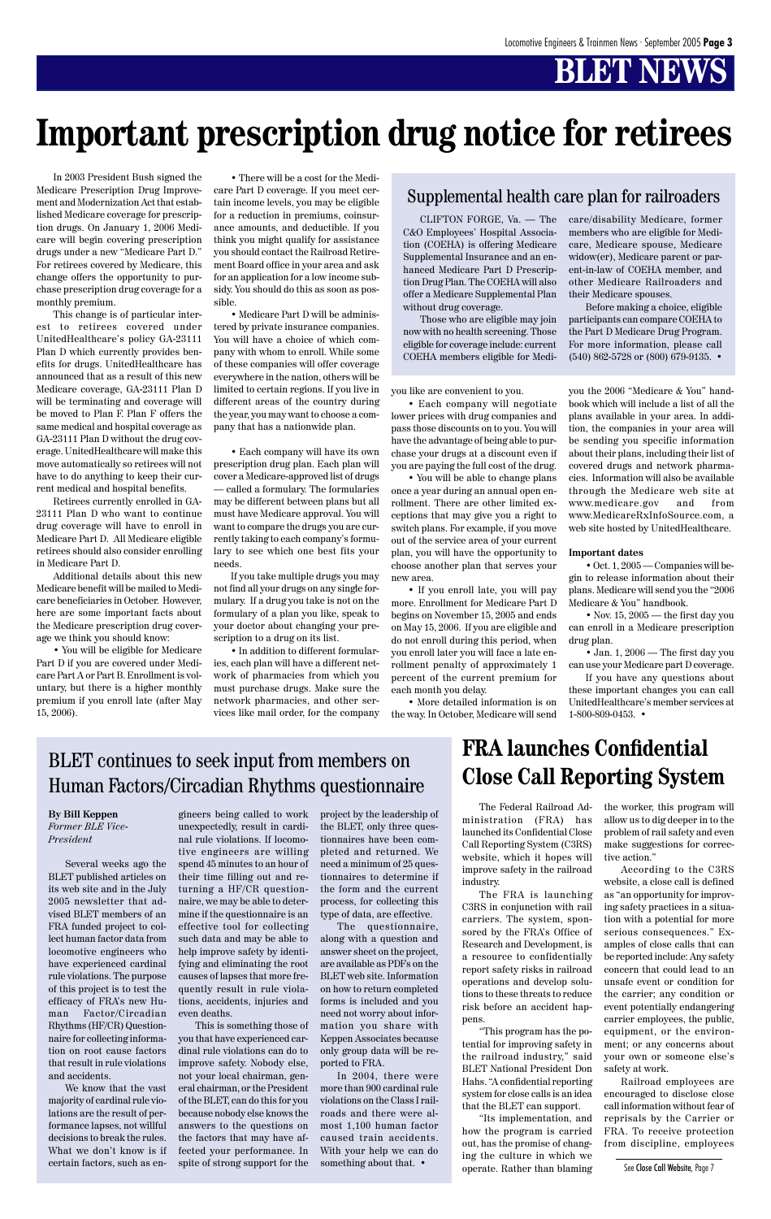In 2003 President Bush signed the Medicare Prescription Drug Improvement and Modernization Act that established Medicare coverage for prescription drugs. On January 1, 2006 Medicare will begin covering prescription drugs under a new "Medicare Part D." For retirees covered by Medicare, this change offers the opportunity to purchase prescription drug coverage for a monthly premium.

This change is of particular interest to retirees covered under UnitedHealthcare's policy GA-23111 Plan D which currently provides benefits for drugs. UnitedHealthcare has announced that as a result of this new Medicare coverage, GA-23111 Plan D will be terminating and coverage will be moved to Plan F. Plan F offers the same medical and hospital coverage as GA-23111 Plan D without the drug coverage. UnitedHealthcare will make this move automatically so retirees will not have to do anything to keep their current medical and hospital benefits.

Retirees currently enrolled in GA-23111 Plan D who want to continue drug coverage will have to enroll in Medicare Part D. All Medicare eligible retirees should also consider enrolling in Medicare Part D.

Additional details about this new Medicare benefit will be mailed to Medicare beneficiaries in October. However, here are some important facts about the Medicare prescription drug coverage we think you should know:

• You will be eligible for Medicare Part D if you are covered under Medicare Part A or Part B. Enrollment is voluntary, but there is a higher monthly premium if you enroll late (after May 15, 2006).

• There will be a cost for the Medicare Part D coverage. If you meet certain income levels, you may be eligible for a reduction in premiums, coinsurance amounts, and deductible. If you think you might qualify for assistance you should contact the Railroad Retirement Board office in your area and ask for an application for a low income subsidy. You should do this as soon as possible.

• Medicare Part D will be administered by private insurance companies. You will have a choice of which company with whom to enroll. While some of these companies will offer coverage everywhere in the nation, others will be limited to certain regions. If you live in different areas of the country during the year, you may want to choose a company that has a nationwide plan.

> • Nov. 15, 2005 — the first day you can enroll in a Medicare prescription drug plan.

• Each company will have its own prescription drug plan. Each plan will cover a Medicare-approved list of drugs — called a formulary. The formularies may be different between plans but all must have Medicare approval. You will want to compare the drugs you are currently taking to each company's formulary to see which one best fits your needs.

If you take multiple drugs you may not find all your drugs on any single formulary. If a drug you take is not on the formulary of a plan you like, speak to your doctor about changing your prescription to a drug on its list.

• In addition to different formularies, each plan will have a different network of pharmacies from which you must purchase drugs. Make sure the network pharmacies, and other services like mail order, for the company you like are convenient to you.

• Each company will negotiate lower prices with drug companies and pass those discounts on to you. You will have the advantage of being able to purchase your drugs at a discount even if you are paying the full cost of the drug.

• You will be able to change plans once a year during an annual open enrollment. There are other limited exceptions that may give you a right to switch plans. For example, if you move out of the service area of your current plan, you will have the opportunity to choose another plan that serves your new area.

• If you enroll late, you will pay more. Enrollment for Medicare Part D begins on November 15, 2005 and ends on May 15, 2006. If you are eligible and do not enroll during this period, when you enroll later you will face a late enrollment penalty of approximately 1 percent of the current premium for each month you delay.

In 2004, there were more than 900 cardinal rule violations on the Class I railroads and there were almost 1,100 human factor caused train accidents. With your help we can do something about that.  $\cdot$ 

• More detailed information is on the way. In October, Medicare will send you the 2006 "Medicare & You" handbook which will include a list of all the plans available in your area. In addition, the companies in your area will be sending you specific information about their plans, including their list of covered drugs and network pharmacies. Information will also be available through the Medicare web site at www.medicare.gov and from www.MedicareRxInfoSource.com, a web site hosted by UnitedHealthcare.

#### **Important dates**

• Oct. 1, 2005 — Companies will begin to release information about their plans. Medicare will send you the "2006 Medicare & You" handbook.

• Jan. 1, 2006 — The first day you can use your Medicare part D coverage.

If you have any questions about these important changes you can call UnitedHealthcare's member services at 1-800-809-0453. •

## **Important prescription drug notice for retirees**

CLIFTON FORGE, Va. — The C&O Employees' Hospital Association (COEHA) is offering Medicare Supplemental Insurance and an enhanced Medicare Part D Prescription Drug Plan. The COEHA will also offer a Medicare Supplemental Plan without drug coverage.

Those who are eligible may join now with no health screening. Those eligible for coverage include: current COEHA members eligible for Medicare/disability Medicare, former members who are eligible for Medicare, Medicare spouse, Medicare widow(er), Medicare parent or parent-in-law of COEHA member, and other Medicare Railroaders and their Medicare spouses.

Before making a choice, eligible participants can compare COEHA to the Part D Medicare Drug Program. For more information, please call (540) 862-5728 or (800) 679-9135. •

#### Supplemental health care plan for railroaders

#### **By Bill Keppen** *Former BLE Vice-President*

Several weeks ago the BLET published articles on its web site and in the July

2005 newsletter that advised BLET members of an FRA funded project to collect human factor data from locomotive engineers who have experienced cardinal rule violations. The purpose of this project is to test the efficacy of FRA's new Human Factor/Circadian Rhythms (HF/CR) Questionnaire for collecting information on root cause factors that result in rule violations and accidents.

We know that the vast majority of cardinal rule violations are the result of performance lapses, not willful decisions to break the rules. What we don't know is if certain factors, such as en-

gineers being called to work unexpectedly, result in cardinal rule violations. If locomotive engineers are willing spend 45 minutes to an hour of their time filling out and returning a HF/CR questionnaire, we may be able to determine if the questionnaire is an effective tool for collecting such data and may be able to help improve safety by identifying and eliminating the root causes of lapses that more frequently result in rule violations, accidents, injuries and even deaths. This is something those of you that have experienced cardinal rule violations can do to improve safety. Nobody else, not your local chairman, general chairman, or the President of the BLET, can do this for you because nobody else knows the answers to the questions on the factors that may have affected your performance. In spite of strong support for the

project by the leadership of the BLET, only three questionnaires have been completed and returned. We need a minimum of 25 questionnaires to determine if the form and the current

process, for collecting this type of data, are effective.

The questionnaire, along with a question and answer sheet on the project, are available as PDFs on the BLET web site. Information on how to return completed forms is included and you need not worry about information you share with Keppen Associates because only group data will be reported to FRA.

### BLET continues to seek input from members on Human Factors/Circadian Rhythms questionnaire

The Federal Railroad Administration (FRA) has launched its Confidential Close Call Reporting System (C3RS) website, which it hopes will improve safety in the railroad industry.

The FRA is launching

C3RS in conjunction with rail carriers. The system, sponsored by the FRA's Office of Research and Development, is a resource to confidentially report safety risks in railroad operations and develop solutions to these threats to reduce risk before an accident happens.

"This program has the potential for improving safety in the railroad industry," said BLET National President Don Hahs. "A confidential reporting system for close calls is an idea that the BLET can support.

"Its implementation, and how the program is carried out, has the promise of changing the culture in which we operate. Rather than blaming

the worker, this program will allow us to dig deeper in to the problem of rail safety and even make suggestions for corrective action."

According to the C3RS website, a close call is defined as "an opportunity for improving safety practices in a situation with a potential for more serious consequences." Examples of close calls that can be reported include: Any safety concern that could lead to an unsafe event or condition for the carrier; any condition or event potentially endangering carrier employees, the public, equipment, or the environment; or any concerns about your own or someone else's safety at work.

Railroad employees are encouraged to disclose close call information without fear of reprisals by the Carrier or FRA. To receive protection from discipline, employees

### **FRA launches Confidential Close Call Reporting System**

See Close Call Website, Page 7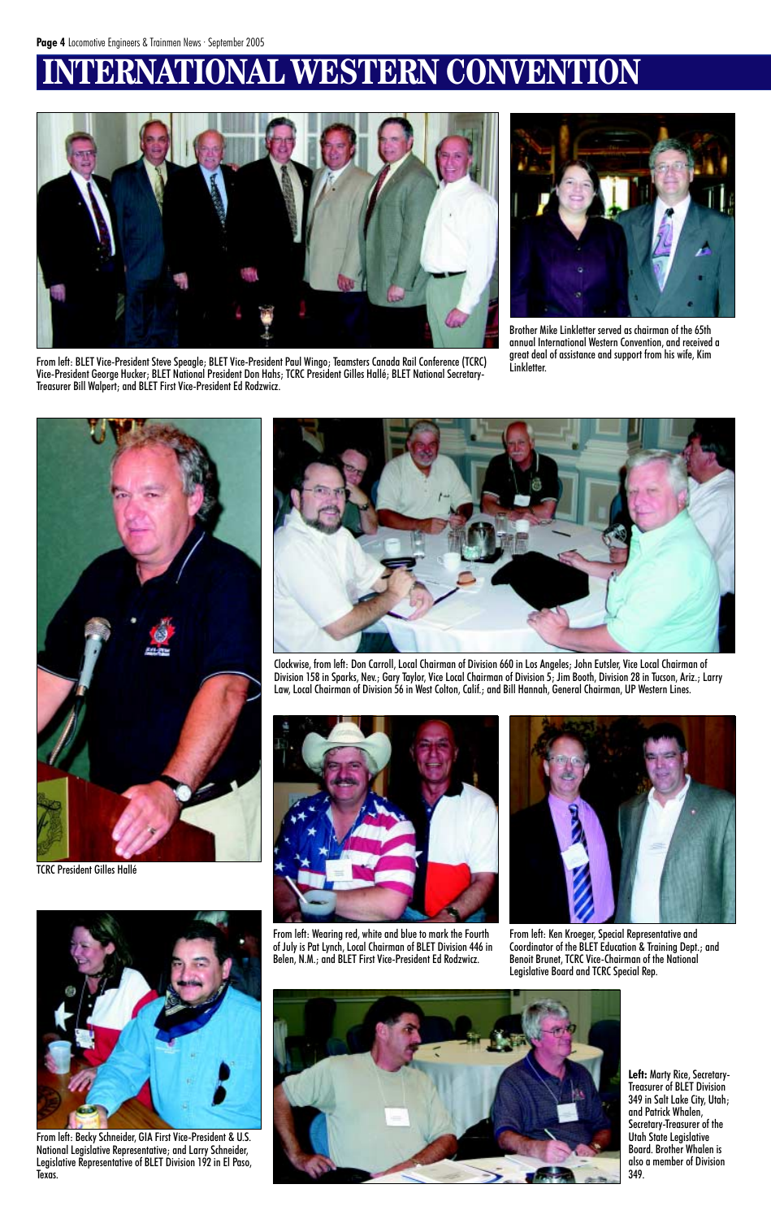## **INAL WESTERN CONVENTION**





Brother Mike Linkletter served as chairman of the 65th annual International Western Convention, and received a great deal of assistance and support from his wife, Kim Linkletter.

From left: BLET Vice-President Steve Speagle; BLET Vice-President Paul Wingo; Teamsters Canada Rail Conference (TCRC) Vice-President George Hucker; BLET National President Don Hahs; TCRC President Gilles Hallé; BLET National Secretary-Treasurer Bill Walpert; and BLET First Vice-President Ed Rodzwicz.





Clockwise, from left: Don Carroll, Local Chairman of Division 660 in Los Angeles; John Eutsler, Vice Local Chairman of Division 158 in Sparks, Nev.; Gary Taylor, Vice Local Chairman of Division 5; Jim Booth, Division 28 in Tucson, Ariz.; Larry Law, Local Chairman of Division 56 in West Colton, Calif.; and Bill Hannah, General Chairman, UP Western Lines.





From left: Wearing red, white and blue to mark the Fourth of July is Pat Lynch, Local Chairman of BLET Division 446 in Belen, N.M.; and BLET First Vice-President Ed Rodzwicz.

From left: Ken Kroeger, Special Representative and Coordinator of the BLET Education & Training Dept.; and Benoit Brunet, TCRC Vice-Chairman of the National Legislative Board and TCRC Special Rep.





From left: Becky Schneider, GIA First Vice-President & U.S. National Legislative Representative; and Larry Schneider, Legislative Representative of BLET Division 192 in El Paso, Texas.

**Left:** Marty Rice, Secretary-Treasurer of BLET Division 349 in Salt Lake City, Utah; and Patrick Whalen, Secretary-Treasurer of the Utah State Legislative Board. Brother Whalen is also a member of Division 349.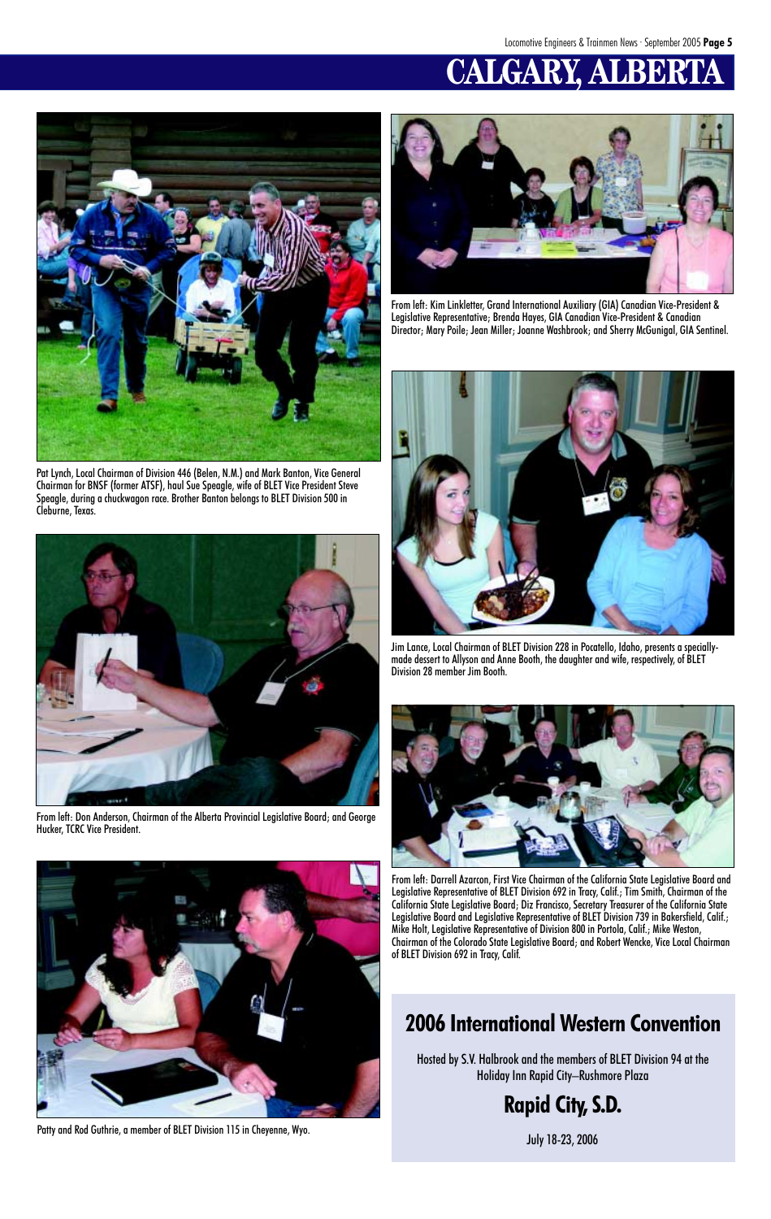## **CALGARY, ALBERTA**



Pat Lynch, Local Chairman of Division 446 (Belen, N.M.) and Mark Banton, Vice General Chairman for BNSF (former ATSF), haul Sue Speagle, wife of BLET Vice President Steve Speagle, during a chuckwagon race. Brother Banton belongs to BLET Division 500 in Cleburne, Texas.



From left: Kim Linkletter, Grand International Auxiliary (GIA) Canadian Vice-President & Legislative Representative; Brenda Hayes, GIA Canadian Vice-President & Canadian Director; Mary Poile; Jean Miller; Joanne Washbrook; and Sherry McGunigal, GIA Sentinel.



Jim Lance, Local Chairman of BLET Division 228 in Pocatello, Idaho, presents a speciallymade dessert to Allyson and Anne Booth, the daughter and wife, respectively, of BLET Division 28 member Jim Booth.

Patty and Rod Guthrie, a member of BLET Division 115 in Cheyenne, Wyo.



From left: Don Anderson, Chairman of the Alberta Provincial Legislative Board; and George Hucker, TCRC Vice President.





From left: Darrell Azarcon, First Vice Chairman of the California State Legislative Board and Legislative Representative of BLET Division 692 in Tracy, Calif.; Tim Smith, Chairman of the

California State Legislative Board; Diz Francisco, Secretary Treasurer of the California State Legislative Board and Legislative Representative of BLET Division 739 in Bakersfield, Calif.; Mike Holt, Legislative Representative of Division 800 in Portola, Calif.; Mike Weston, Chairman of the Colorado State Legislative Board; and Robert Wencke, Vice Local Chairman of BLET Division 692 in Tracy, Calif.

### **2006 International Western Convention**

Hosted by S.V. Halbrook and the members of BLET Division 94 at the Holiday Inn Rapid City–Rushmore Plaza

**Rapid City, S.D.**

July 18-23, 2006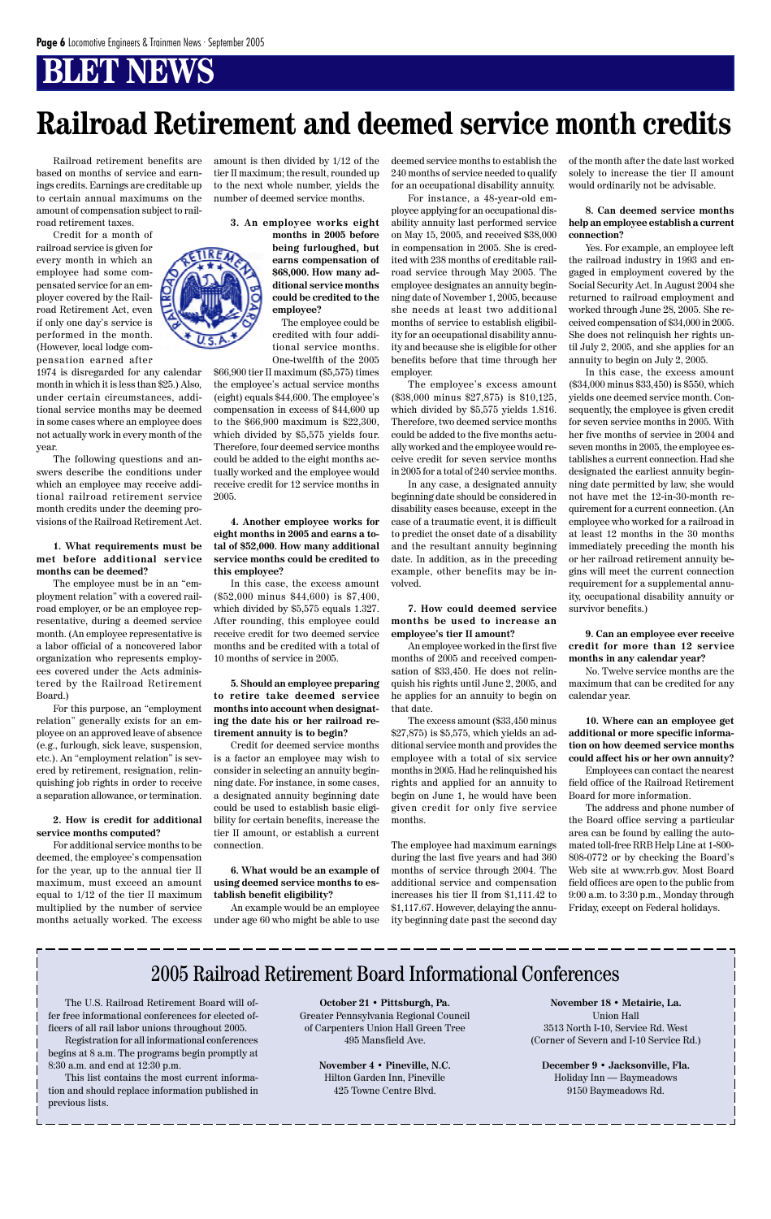## **Railroad Retirement and deemed service month credits**

Railroad retirement benefits are based on months of service and earnings credits. Earnings are creditable up to certain annual maximums on the amount of compensation subject to railroad retirement taxes.

Credit for a month of railroad service is given for every month in which an employee had some compensated service for an employer covered by the Railroad Retirement Act, even if only one day's service is performed in the month. (However, local lodge compensation earned after

1974 is disregarded for any calendar month in which it is less than \$25.) Also, under certain circumstances, additional service months may be deemed in some cases where an employee does not actually work in every month of the year.

The following questions and answers describe the conditions under which an employee may receive additional railroad retirement service month credits under the deeming provisions of the Railroad Retirement Act.

#### **1. What requirements must be met before additional service months can be deemed?**

The employee must be in an "employment relation" with a covered railroad employer, or be an employee representative, during a deemed service month. (An employee representative is a labor official of a noncovered labor organization who represents employees covered under the Acts administered by the Railroad Retirement Board.)

For this purpose, an "employment relation" generally exists for an employee on an approved leave of absence (e.g., furlough, sick leave, suspension, etc.). An "employment relation" is severed by retirement, resignation, relinquishing job rights in order to receive a separation allowance, or termination.

#### **2. How is credit for additional service months computed?**

For additional service months to be deemed, the employee's compensation for the year, up to the annual tier II maximum, must exceed an amount equal to 1/12 of the tier II maximum multiplied by the number of service months actually worked. The excess

amount is then divided by 1/12 of the tier II maximum; the result, rounded up to the next whole number, yields the number of deemed service months.

**3. An employee works eight**

**months in 2005 before being furloughed, but earns compensation of \$68,000. How many additional service months could be credited to the employee?**

The employee could be credited with four additional service months. One-twelfth of the 2005

\$66,900 tier II maximum (\$5,575) times the employee's actual service months (eight) equals \$44,600. The employee's compensation in excess of \$44,600 up to the \$66,900 maximum is \$22,300, which divided by \$5,575 yields four. Therefore, four deemed service months could be added to the eight months actually worked and the employee would receive credit for 12 service months in 2005.

#### **4. Another employee works for eight months in 2005 and earns a total of \$52,000. How many additional service months could be credited to this employee?**

In this case, the excess amount (\$52,000 minus \$44,600) is \$7,400, which divided by \$5,575 equals 1.327. After rounding, this employee could receive credit for two deemed service months and be credited with a total of 10 months of service in 2005.

**5. Should an employee preparing to retire take deemed service months into account when designating the date his or her railroad retirement annuity is to begin?**

Credit for deemed service months is a factor an employee may wish to consider in selecting an annuity beginning date. For instance, in some cases, a designated annuity beginning date could be used to establish basic eligibility for certain benefits, increase the tier II amount, or establish a current connection.

**6. What would be an example of using deemed service months to establish benefit eligibility?**

deemed service months to establish the 240 months of service needed to qualify for an occupational disability annuity.

For instance, a 48-year-old employee applying for an occupational disability annuity last performed service on May 15, 2005, and received \$38,000 in compensation in 2005. She is credited with 238 months of creditable railroad service through May 2005. The employee designates an annuity beginning date of November 1, 2005, because she needs at least two additional months of service to establish eligibility for an occupational disability annuity and because she is eligible for other benefits before that time through her employer.

The employee's excess amount (\$38,000 minus \$27,875) is \$10,125, which divided by \$5,575 yields 1.816. Therefore, two deemed service months could be added to the five months actually worked and the employee would receive credit for seven service months in 2005 for a total of 240 service months.

In any case, a designated annuity beginning date should be considered in disability cases because, except in the case of a traumatic event, it is difficult to predict the onset date of a disability and the resultant annuity beginning date. In addition, as in the preceding example, other benefits may be involved.

#### **7. How could deemed service months be used to increase an employee's tier II amount?**

An employee worked in the first five months of 2005 and received compensation of \$33,450. He does not relinquish his rights until June 2, 2005, and he applies for an annuity to begin on that date.

The excess amount (\$33,450 minus \$27,875) is \$5,575, which yields an additional service month and provides the employee with a total of six service months in 2005. Had he relinquished his rights and applied for an annuity to begin on June 1, he would have been given credit for only five service months.

An example would be an employee \$1,117.67. However, delaying the annu-Friday, except on Federal holidays. under age 60 who might be able to use ity beginning date past the second day The employee had maximum earnings during the last five years and had 360 months of service through 2004. The additional service and compensation increases his tier II from \$1,111.42 to 9:00 a.m. to 3:30 p.m., Monday through

of the month after the date last worked solely to increase the tier II amount would ordinarily not be advisable.

#### **8. Can deemed service months help an employee establish a current connection?**

Yes. For example, an employee left the railroad industry in 1993 and engaged in employment covered by the Social Security Act. In August 2004 she returned to railroad employment and worked through June 28, 2005. She received compensation of \$34,000 in 2005. She does not relinquish her rights until July 2, 2005, and she applies for an annuity to begin on July 2, 2005.

In this case, the excess amount (\$34,000 minus \$33,450) is \$550, which yields one deemed service month. Consequently, the employee is given credit for seven service months in 2005. With her five months of service in 2004 and seven months in 2005, the employee establishes a current connection. Had she designated the earliest annuity beginning date permitted by law, she would not have met the 12-in-30-month requirement for a current connection. (An employee who worked for a railroad in at least 12 months in the 30 months immediately preceding the month his or her railroad retirement annuity begins will meet the current connection requirement for a supplemental annuity, occupational disability annuity or survivor benefits.)

**9. Can an employee ever receive credit for more than 12 service months in any calendar year?**

No. Twelve service months are the maximum that can be credited for any calendar year.

**10. Where can an employee get additional or more specific information on how deemed service months could affect his or her own annuity?**

Employees can contact the nearest field office of the Railroad Retirement Board for more information.

The address and phone number of the Board office serving a particular area can be found by calling the automated toll-free RRB Help Line at 1-800- 808-0772 or by checking the Board's Web site at www.rrb.gov. Most Board field offices are open to the public from



### 2005 Railroad Retirement Board Informational Conferences

The U.S. Railroad Retirement Board will offer free informational conferences for elected officers of all rail labor unions throughout 2005.

Registration for all informational conferences begins at 8 a.m. The programs begin promptly at 8:30 a.m. and end at 12:30 p.m.

This list contains the most current information and should replace information published in previous lists.

**October 21 • Pittsburgh, Pa.** Greater Pennsylvania Regional Council of Carpenters Union Hall Green Tree 495 Mansfield Ave.

> **November 4 • Pineville, N.C.** Hilton Garden Inn, Pineville 425 Towne Centre Blvd.

**November 18 • Metairie, La.** Union Hall 3513 North I-10, Service Rd. West (Corner of Severn and I-10 Service Rd.)

**December 9 • Jacksonville, Fla.** Holiday Inn — Baymeadows 9150 Baymeadows Rd.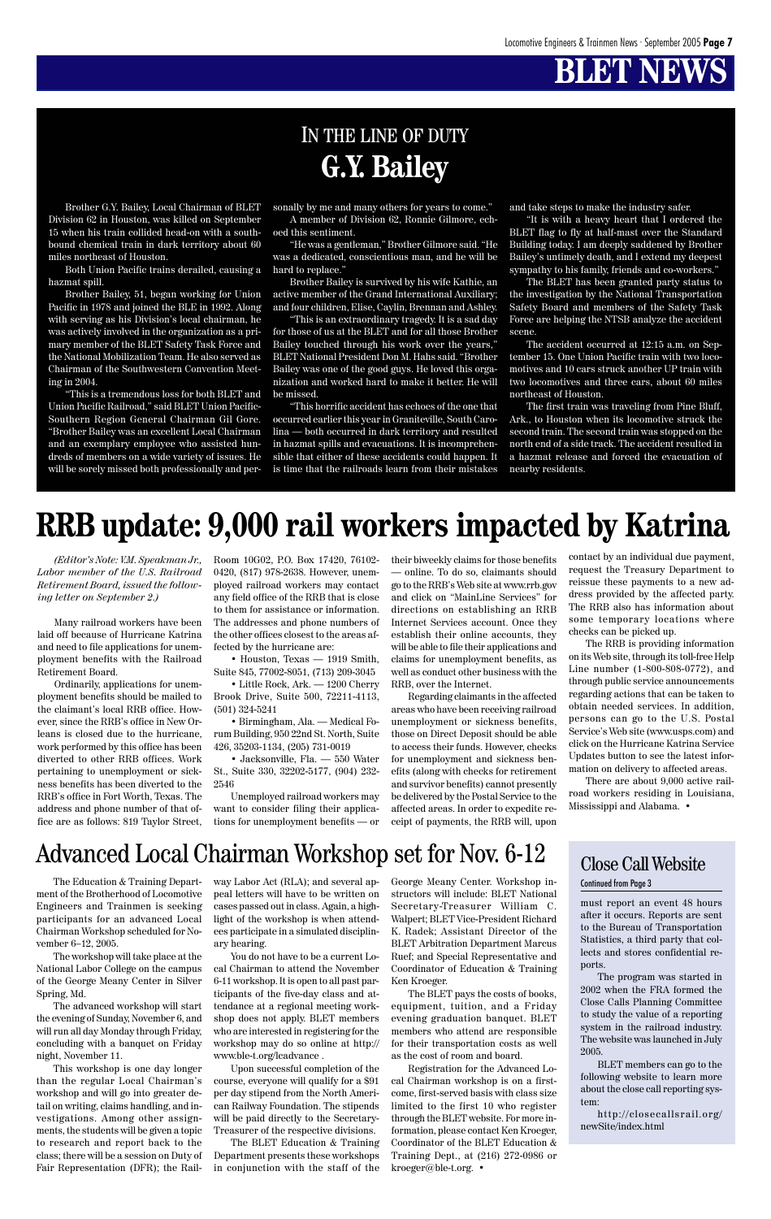*(Editor's Note: V.M. Speakman Jr., Labor member of the U.S. Railroad Retirement Board, issued the following letter on September 2.)*

Many railroad workers have been laid off because of Hurricane Katrina and need to file applications for unemployment benefits with the Railroad Retirement Board.

Ordinarily, applications for unemployment benefits should be mailed to the claimant's local RRB office. However, since the RRB's office in New Orleans is closed due to the hurricane, work performed by this office has been diverted to other RRB offices. Work pertaining to unemployment or sickness benefits has been diverted to the RRB's office in Fort Worth, Texas. The address and phone number of that office are as follows: 819 Taylor Street, Room 10G02, P.O. Box 17420, 76102- 0420, (817) 978-2638. However, unemployed railroad workers may contact any field office of the RRB that is close to them for assistance or information. The addresses and phone numbers of the other offices closest to the areas affected by the hurricane are:

• Houston, Texas — 1919 Smith, Suite 845, 77002-8051, (713) 209-3045

• Little Rock, Ark. — 1200 Cherry Brook Drive, Suite 500, 72211-4113, (501) 324-5241

• Birmingham, Ala. — Medical Forum Building, 950 22nd St. North, Suite 426, 35203-1134, (205) 731-0019

• Jacksonville, Fla. — 550 Water St., Suite 330, 32202-5177, (904) 232- 2546

Unemployed railroad workers may want to consider filing their applications for unemployment benefits — or their biweekly claims for those benefits — online. To do so, claimants should go to the RRB's Web site at www.rrb.gov and click on "MainLine Services" for directions on establishing an RRB Internet Services account. Once they establish their online accounts, they will be able to file their applications and claims for unemployment benefits, as well as conduct other business with the RRB, over the Internet.

Regarding claimants in the affected areas who have been receiving railroad unemployment or sickness benefits, those on Direct Deposit should be able to access their funds. However, checks for unemployment and sickness benefits (along with checks for retirement and survivor benefits) cannot presently be delivered by the Postal Service to the affected areas. In order to expedite receipt of payments, the RRB will, upon

## **RRB update: 9,000 rail workers impacted by Katrina**

Engineers and Trainmen is seeking participants for an advanced Local Chairman Workshop scheduled for November 6–12, 2005.

The workshop will take place at the National Labor College on the campus of the George Meany Center in Silver Spring, Md.

hard to replace." Brother Bailey is survived by his wife Kathie, an active member of the Grand International Auxiliary; and four children, Elise, Caylin, Brennan and Ashley.

The advanced workshop will start the evening of Sunday, November 6, and will run all day Monday through Friday, concluding with a banquet on Friday night, November 11.

ment of the Brotherhood of Locomotive peal letters will have to be written on structors will include: BLET National cases passed out in class. Again, a highlight of the workshop is when attendees participate in a simulated disciplinary hearing.

This workshop is one day longer than the regular Local Chairman's workshop and will go into greater detail on writing, claims handling, and investigations. Among other assignments, the students will be given a topic to research and report back to the class; there will be a session on Duty of Fair Representation (DFR); the Rail-

The accident occurred at 12:15 a.m. on September 15. One Union Pacific train with two locomotives and 10 cars struck another UP train with two locomotives and three cars, about 60 miles northeast of Houston.

You do not have to be a current Local Chairman to attend the November 6-11 workshop. It is open to all past participants of the five-day class and attendance at a regional meeting workshop does not apply. BLET members who are interested in registering for the workshop may do so online at http:// www.ble-t.org/lcadvance .

Upon successful completion of the course, everyone will qualify for a \$91 per day stipend from the North American Railway Foundation. The stipends will be paid directly to the Secretary-Treasurer of the respective divisions.

The BLET Education & Training Department presents these workshops in conjunction with the staff of the

## **G.Y. Bailey** IN THE LINE OF DUTY

Brother G.Y. Bailey, Local Chairman of BLET Division 62 in Houston, was killed on September 15 when his train collided head-on with a southbound chemical train in dark territory about 60 miles northeast of Houston.

Both Union Pacific trains derailed, causing a hazmat spill.

Brother Bailey, 51, began working for Union Pacific in 1978 and joined the BLE in 1992. Along with serving as his Division's local chairman, he was actively involved in the organization as a primary member of the BLET Safety Task Force and the National Mobilization Team. He also served as Chairman of the Southwestern Convention Meeting in 2004.

"This is a tremendous loss for both BLET and Union Pacific Railroad," said BLET Union Pacific-Southern Region General Chairman Gil Gore. "Brother Bailey was an excellent Local Chairman and an exemplary employee who assisted hundreds of members on a wide variety of issues. He will be sorely missed both professionally and personally by me and many others for years to come." A member of Division 62, Ronnie Gilmore, ech-

oed this sentiment. "He was a gentleman," Brother Gilmore said. "He was a dedicated, conscientious man, and he will be

The Education & Training Depart-way Labor Act (RLA); and several ap-George Meany Center. Workshop in-Secretary-Treasurer William C. Walpert; BLET Vice-President Richard K. Radek; Assistant Director of the BLET Arbitration Department Marcus Ruef; and Special Representative and Coordinator of Education & Training Ken Kroeger. The BLET pays the costs of books, equipment, tuition, and a Friday evening graduation banquet. BLET members who attend are responsible for their transportation costs as well as the cost of room and board. Registration for the Advanced Local Chairman workshop is on a firstcome, first-served basis with class size limited to the first 10 who register through the BLET website. For more information, please contact Ken Kroeger, Coordinator of the BLET Education & Training Dept., at (216) 272-0986 or kroeger@ble-t.org. •

"This is an extraordinary tragedy. It is a sad day for those of us at the BLET and for all those Brother Bailey touched through his work over the years," BLET National President Don M. Hahs said. "Brother Bailey was one of the good guys. He loved this organization and worked hard to make it better. He will be missed.

"This horrific accident has echoes of the one that occurred earlier this year in Graniteville, South Carolina — both occurred in dark territory and resulted in hazmat spills and evacuations. It is incomprehensible that either of these accidents could happen. It is time that the railroads learn from their mistakes and take steps to make the industry safer.

"It is with a heavy heart that I ordered the BLET flag to fly at half-mast over the Standard Building today. I am deeply saddened by Brother Bailey's untimely death, and I extend my deepest sympathy to his family, friends and co-workers."

The BLET has been granted party status to the investigation by the National Transportation Safety Board and members of the Safety Task Force are helping the NTSB analyze the accident scene.

The first train was traveling from Pine Bluff, Ark., to Houston when its locomotive struck the second train. The second train was stopped on the north end of a side track. The accident resulted in a hazmat release and forced the evacuation of nearby residents.

> contact by an individual due payment, request the Treasury Department to reissue these payments to a new address provided by the affected party. The RRB also has information about some temporary locations where checks can be picked up.

> The RRB is providing information on its Web site, through its toll-free Help Line number (1-800-808-0772), and through public service announcements regarding actions that can be taken to obtain needed services. In addition, persons can go to the U.S. Postal Service's Web site (www.usps.com) and click on the Hurricane Katrina Service Updates button to see the latest information on delivery to affected areas.

> There are about 9,000 active railroad workers residing in Louisiana, Mississippi and Alabama. •

## Advanced Local Chairman Workshop set for Nov. 6-12

must report an event 48 hours after it occurs. Reports are sent to the Bureau of Transportation Statistics, a third party that collects and stores confidential reports.

The program was started in 2002 when the FRA formed the Close Calls Planning Committee to study the value of a reporting system in the railroad industry. The website was launched in July 2005.

BLET members can go to the following website to learn more about the close call reporting system:

http://closecallsrail.org/ newSite/index.html

Close Call Website Continued from Page 3